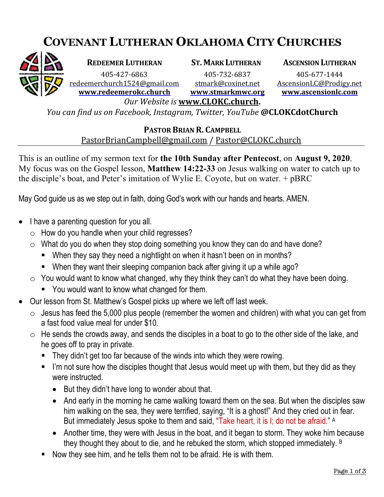## **COVENANT LUTHERAN OKLAHOMA CITY CHURCHES**



**REDEEMER LUTHERAN ST. MARK LUTHERAN ASCENSION LUTHERAN**

405-427-6863 405-732-6837 405-677-1444 redeemerchurch1524@gmail.com stmark@coxinet.net AscensionLC@Prodigy.net **www.redeemerokc.church www.stmarkmwc.org www.ascensionlc.com**

*Our Website is* **www.CLOKC.church.** *You can find us on Facebook, Instagram, Twitter, YouTube* **@CLOKCdotChurch**

## **PASTOR BRIAN R. CAMPBELL**

PastorBrianCampbell@gmail.com / Pastor@CLOKC.church

This is an outline of my sermon text for **the 10th Sunday after Pentecost**, on **August 9, 2020**. My focus was on the Gospel lesson, **Matthew 14:22-33** on Jesus walking on water to catch up to the disciple's boat, and Peter's imitation of Wylie E. Coyote, but on water. + pBRC

May God guide us as we step out in faith, doing God's work with our hands and hearts. AMEN.

- I have a parenting question for you all.
	- $\circ$  How do you handle when your child regresses?
	- $\circ$  What do you do when they stop doing something you know they can do and have done?
		- § When they say they need a nightlight on when it hasn't been on in months?
		- When they want their sleeping companion back after giving it up a while ago?
	- $\circ$  You would want to know what changed, why they think they can't do what they have been doing.
		- You would want to know what changed for them.
- Our lesson from St. Matthew's Gospel picks up where we left off last week.
	- $\circ$  Jesus has feed the 5,000 plus people (remember the women and children) with what you can get from a fast food value meal for under \$10.
	- $\circ$  He sends the crowds away, and sends the disciples in a boat to go to the other side of the lake, and he goes off to pray in private.
		- They didn't get too far because of the winds into which they were rowing.
		- I'm not sure how the disciples thought that Jesus would meet up with them, but they did as they were instructed.
			- But they didn't have long to wonder about that.
			- And early in the morning he came walking toward them on the sea. But when the disciples saw him walking on the sea, they were terrified, saying, "It is a ghost!" And they cried out in fear. But immediately Jesus spoke to them and said, "Take heart, it is I; do not be afraid." A
			- Another time, they were with Jesus in the boat, and it began to storm. They woke him because they thought they about to die, and he rebuked the storm, which stopped immediately. B
		- § Now they see him, and he tells them not to be afraid. He is with them.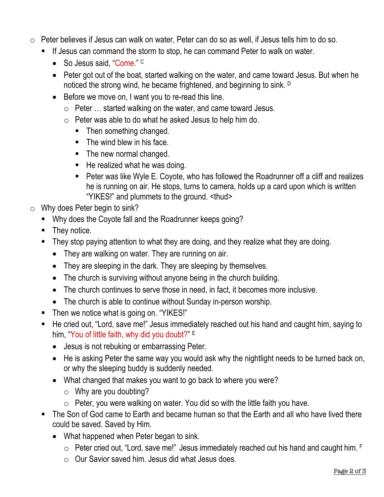- o Peter believes if Jesus can walk on water, Peter can do so as well, if Jesus tells him to do so.
	- If Jesus can command the storm to stop, he can command Peter to walk on water.
		- So Jesus said, "Come." C
		- Peter got out of the boat, started walking on the water, and came toward Jesus. But when he noticed the strong wind, he became frightened, and beginning to sink. D
		- Before we move on, I want you to re-read this line.
			- o Peter … started walking on the water, and came toward Jesus.
			- o Peter was able to do what he asked Jesus to help him do.
				- Then something changed.
				- $\blacksquare$  The wind blew in his face.
				- The new normal changed.
				- He realized what he was doing.
				- Peter was like Wyle E. Coyote, who has followed the Roadrunner off a cliff and realizes he is running on air. He stops, turns to camera, holds up a card upon which is written "YIKES!" and plummets to the ground. <thud>
- o Why does Peter begin to sink?
	- Why does the Coyote fall and the Roadrunner keeps going?
	- They notice.
	- They stop paying attention to what they are doing, and they realize what they are doing.
		- They are walking on water. They are running on air.
		- They are sleeping in the dark. They are sleeping by themselves.
		- The church is surviving without anyone being in the church building.
		- The church continues to serve those in need, in fact, it becomes more inclusive.
		- The church is able to continue without Sunday in-person worship.
	- Then we notice what is going on. "YIKES!"
	- He cried out, "Lord, save me!" Jesus immediately reached out his hand and caught him, saying to him, "You of little faith, why did you doubt?" E
		- Jesus is not rebuking or embarrassing Peter.
		- He is asking Peter the same way you would ask why the nightlight needs to be turned back on, or why the sleeping buddy is suddenly needed.
		- What changed that makes you want to go back to where you were?
			- $\circ$  Why are you doubting?
			- $\circ$  Peter, you were walking on water. You did so with the little faith you have.
	- The Son of God came to Earth and became human so that the Earth and all who have lived there could be saved. Saved by Him.
		- What happened when Peter began to sink.
			- o Peter cried out, "Lord, save me!" Jesus immediately reached out his hand and caught him. F
			- o Our Savior saved him. Jesus did what Jesus does.